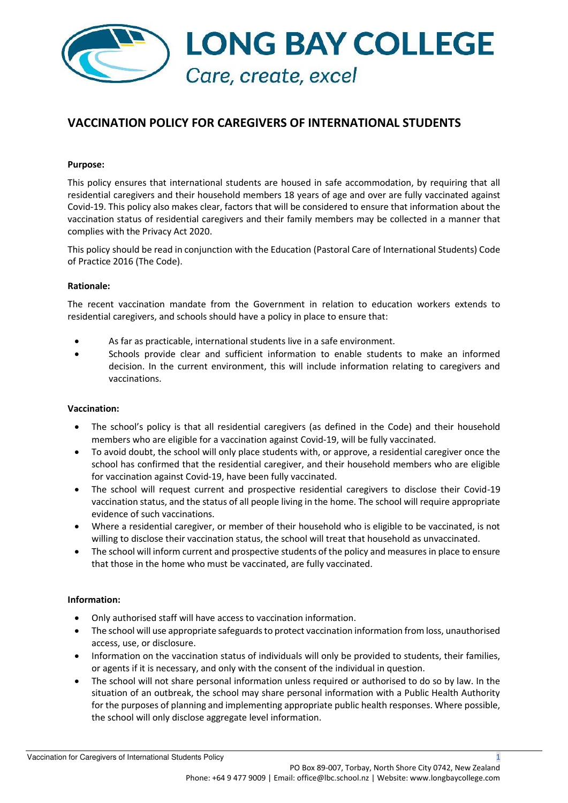

# **VACCINATION POLICY FOR CAREGIVERS OF INTERNATIONAL STUDENTS**

## **Purpose:**

This policy ensures that international students are housed in safe accommodation, by requiring that all residential caregivers and their household members 18 years of age and over are fully vaccinated against Covid-19. This policy also makes clear, factors that will be considered to ensure that information about the vaccination status of residential caregivers and their family members may be collected in a manner that complies with the Privacy Act 2020.

This policy should be read in conjunction with the Education (Pastoral Care of International Students) Code of Practice 2016 (The Code).

### **Rationale:**

The recent vaccination mandate from the Government in relation to education workers extends to residential caregivers, and schools should have a policy in place to ensure that:

- As far as practicable, international students live in a safe environment.
- Schools provide clear and sufficient information to enable students to make an informed decision. In the current environment, this will include information relating to caregivers and vaccinations.

### **Vaccination:**

- The school's policy is that all residential caregivers (as defined in the Code) and their household members who are eligible for a vaccination against Covid-19, will be fully vaccinated.
- To avoid doubt, the school will only place students with, or approve, a residential caregiver once the school has confirmed that the residential caregiver, and their household members who are eligible for vaccination against Covid-19, have been fully vaccinated.
- The school will request current and prospective residential caregivers to disclose their Covid-19 vaccination status, and the status of all people living in the home. The school will require appropriate evidence of such vaccinations.
- Where a residential caregiver, or member of their household who is eligible to be vaccinated, is not willing to disclose their vaccination status, the school will treat that household as unvaccinated.
- The school will inform current and prospective students of the policy and measures in place to ensure that those in the home who must be vaccinated, are fully vaccinated.

### **Information:**

- Only authorised staff will have access to vaccination information.
- The school will use appropriate safeguards to protect vaccination information from loss, unauthorised access, use, or disclosure.
- Information on the vaccination status of individuals will only be provided to students, their families, or agents if it is necessary, and only with the consent of the individual in question.
- The school will not share personal information unless required or authorised to do so by law. In the situation of an outbreak, the school may share personal information with a Public Health Authority for the purposes of planning and implementing appropriate public health responses. Where possible, the school will only disclose aggregate level information.